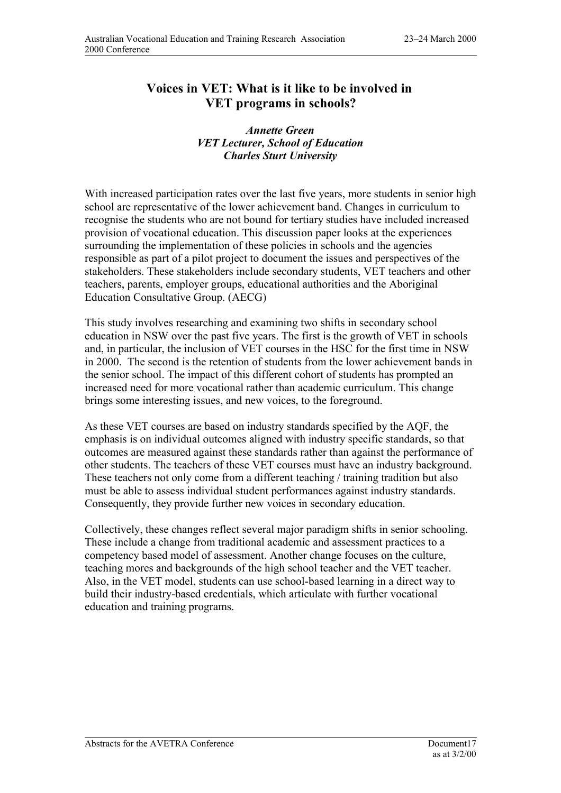## **Voices in VET: What is it like to be involved in VET programs in schools?**

## *Annette Green VET Lecturer, School of Education Charles Sturt University*

With increased participation rates over the last five years, more students in senior high school are representative of the lower achievement band. Changes in curriculum to recognise the students who are not bound for tertiary studies have included increased provision of vocational education. This discussion paper looks at the experiences surrounding the implementation of these policies in schools and the agencies responsible as part of a pilot project to document the issues and perspectives of the stakeholders. These stakeholders include secondary students, VET teachers and other teachers, parents, employer groups, educational authorities and the Aboriginal Education Consultative Group. (AECG)

This study involves researching and examining two shifts in secondary school education in NSW over the past five years. The first is the growth of VET in schools and, in particular, the inclusion of VET courses in the HSC for the first time in NSW in 2000. The second is the retention of students from the lower achievement bands in the senior school. The impact of this different cohort of students has prompted an increased need for more vocational rather than academic curriculum. This change brings some interesting issues, and new voices, to the foreground.

As these VET courses are based on industry standards specified by the AQF, the emphasis is on individual outcomes aligned with industry specific standards, so that outcomes are measured against these standards rather than against the performance of other students. The teachers of these VET courses must have an industry background. These teachers not only come from a different teaching / training tradition but also must be able to assess individual student performances against industry standards. Consequently, they provide further new voices in secondary education.

Collectively, these changes reflect several major paradigm shifts in senior schooling. These include a change from traditional academic and assessment practices to a competency based model of assessment. Another change focuses on the culture, teaching mores and backgrounds of the high school teacher and the VET teacher. Also, in the VET model, students can use school-based learning in a direct way to build their industry-based credentials, which articulate with further vocational education and training programs.